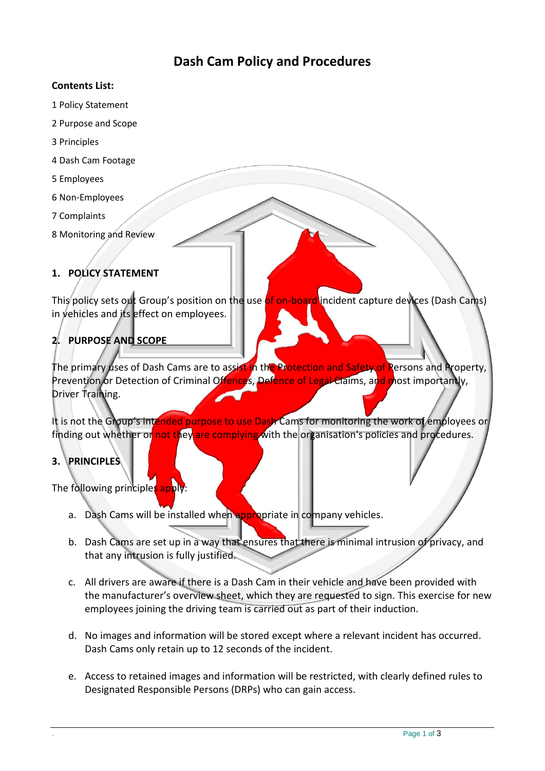# **Dash Cam Policy and Procedures**

#### **Contents List:**

- 1 Policy Statement
- 2 Purpose and Scope
- 3 Principles
- 4 Dash Cam Footage
- 5 Employees
- 6 Non-Employees
- 7 Complaints
- 8 Monitoring and Review

### **1. POLICY STATEMENT**

This policy sets out Group's position on the use of on-board incident capture devices (Dash Cams) in vehicles and its effect on employees.

# **2. PURPOSE AND SCOPE**

The primary uses of Dash Cams are to assist in the Protection and Safety of Persons and Property, Prevention or Detection of Criminal Offences, Defence of Legal Claims, and most importantly, Driver Training.

It is not the Group's intended purpose to use Dash Cams for monitoring the work of employees or finding out whether or not they are complying with the organisation's policies and procedures.

# **3. PRINCIPLES**

The following principles apply:

- a. Dash Cams will be installed when appropriate in company vehicles.
- b. Dash Cams are set up in a way that ensures that there is minimal intrusion of privacy, and that any intrusion is fully justified.
- c. All drivers are aware if there is a Dash Cam in their vehicle and have been provided with the manufacturer's overview sheet, which they are requested to sign. This exercise for new employees joining the driving team is carried out as part of their induction.
- d. No images and information will be stored except where a relevant incident has occurred. Dash Cams only retain up to 12 seconds of the incident.
- e. Access to retained images and information will be restricted, with clearly defined rules to Designated Responsible Persons (DRPs) who can gain access.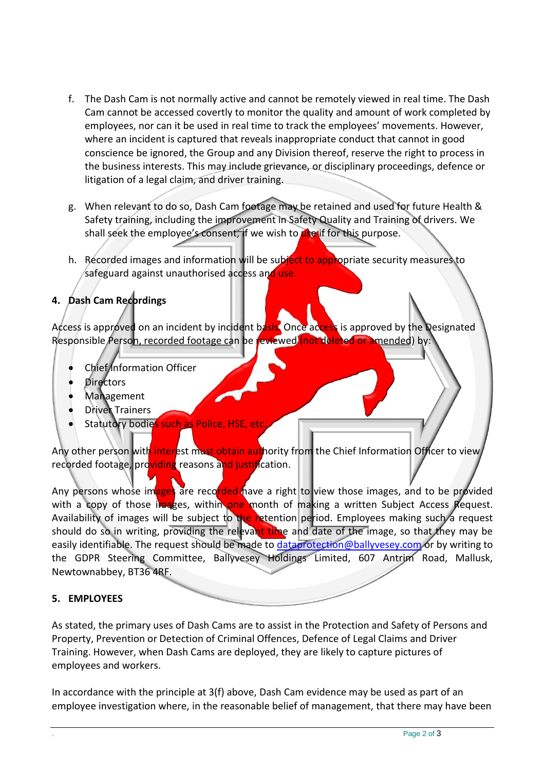- f. The Dash Cam is not normally active and cannot be remotely viewed in real time. The Dash Cam cannot be accessed covertly to monitor the quality and amount of work completed by employees, nor can it be used in real time to track the employees' movements. However, where an incident is captured that reveals inappropriate conduct that cannot in good conscience be ignored, the Group and any Division thereof, reserve the right to process in the business interests. This may include grievance, or disciplinary proceedings, defence or litigation of a legal claim, and driver training.
- g. When relevant to do so, Dash Cam footage may be retained and used for future Health & Safety training, including the improvement in Safety Quality and Training of drivers. We shall seek the employee's consent, if we wish to  $\det$  for this purpose.
- h. Recorded images and information will be subject to appropriate security measures to safeguard against unauthorised access and use.

### **4. Dash Cam Recordings**

Access is approved on an incident by incident basis. Once access is approved by the Designated Responsible Person, recorded footage can be reviewed (not deleted or amended) by:

- Chief Information Officer
- **Directors**
- Management
- Driver Trainers
- Statutory bodies such as Police, HSE, etc.

Any other person with interest must obtain authority from the Chief Information Officer to view, recorded footage, providing reasons and justification.

Any persons whose images are recorded have a right to view those images, and to be provided with a copy of those images, within one month of making a written Subject Access Request. Availability of images will be subject to the retention period. Employees making such a request should do so in writing, providing the relevant time and date of the image, so that they may be easily identifiable. The request should be made to [dataprotection@ballyvesey.com](mailto:dataprotection@ballyvesey.com) or by writing to the GDPR Steering Committee, Ballyvesey Holdings Limited, 607 Antrim Road, Mallusk, Newtownabbey, BT36 4RF.

### **5. EMPLOYEES**

As stated, the primary uses of Dash Cams are to assist in the Protection and Safety of Persons and Property, Prevention or Detection of Criminal Offences, Defence of Legal Claims and Driver Training. However, when Dash Cams are deployed, they are likely to capture pictures of employees and workers.

In accordance with the principle at 3(f) above, Dash Cam evidence may be used as part of an employee investigation where, in the reasonable belief of management, that there may have been